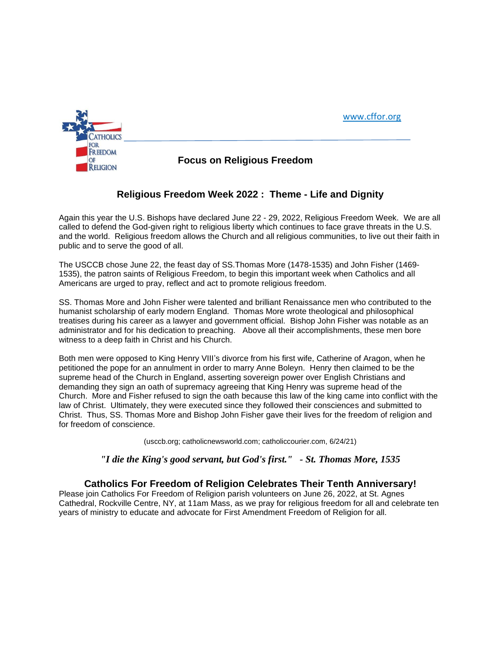



**OF COLLA CORPORT FOCUS ON Religious Freedom** 

# **Religious Freedom Week 2022 : Theme - Life and Dignity**

Again this year the U.S. Bishops have declared June 22 - 29, 2022, Religious Freedom Week. We are all called to defend the God-given right to religious liberty which continues to face grave threats in the U.S. and the world. Religious freedom allows the Church and all religious communities, to live out their faith in public and to serve the good of all.

The USCCB chose June 22, the feast day of SS.Thomas More (1478-1535) and John Fisher (1469- 1535), the patron saints of Religious Freedom, to begin this important week when Catholics and all Americans are urged to pray, reflect and act to promote religious freedom.

SS. Thomas More and John Fisher were talented and brilliant Renaissance men who contributed to the humanist scholarship of early modern England. Thomas More wrote theological and philosophical treatises during his career as a lawyer and government official. Bishop John Fisher was notable as an administrator and for his dedication to preaching. Above all their accomplishments, these men bore witness to a deep faith in Christ and his Church.

Both men were opposed to King Henry VIII's divorce from his first wife, Catherine of Aragon, when he petitioned the pope for an annulment in order to marry Anne Boleyn. Henry then claimed to be the supreme head of the Church in England, asserting sovereign power over English Christians and demanding they sign an oath of supremacy agreeing that King Henry was supreme head of the Church. More and Fisher refused to sign the oath because this law of the king came into conflict with the law of Christ. Ultimately, they were executed since they followed their consciences and submitted to Christ. Thus, SS. Thomas More and Bishop John Fisher gave their lives for the freedom of religion and for freedom of conscience.

(usccb.org; catholicnewsworld.com; catholiccourier.com, 6/24/21)

#### *"I die the King's good servant, but God's first." - St. Thomas More, 1535*

### **Catholics For Freedom of Religion Celebrates Their Tenth Anniversary!**

Please join Catholics For Freedom of Religion parish volunteers on June 26, 2022, at St. Agnes Cathedral, Rockville Centre, NY, at 11am Mass, as we pray for religious freedom for all and celebrate ten years of ministry to educate and advocate for First Amendment Freedom of Religion for all.